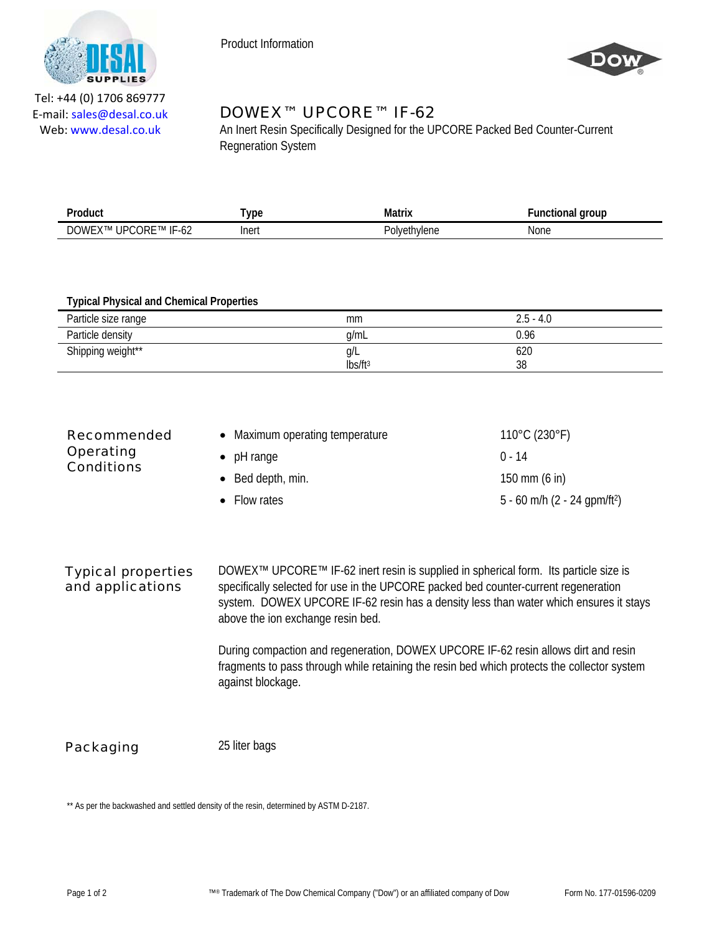

Product Information



Tel: +44 (0) 1706 869777 E‐mail: sales@desal.co.uk Web: www.desal.co.uk

## DOWEX™ UPCORE™ IF-62

An Inert Resin Specifically Designed for the UPCORE Packed Bed Counter-Current Regneration System

| Product<br>.                                                       | <b>VDC</b> | Matrix                    | aroup<br>10 |
|--------------------------------------------------------------------|------------|---------------------------|-------------|
| ╍<br>JΡ<br>MN<br>JR F<br>i ivi<br><b>IM</b><br>. .<br>◡∠<br>$\sim$ | Inert      | Polv⊦.<br>`VI⊩.<br>$\sim$ | None        |

## **Typical Physical and Chemical Properties**

| Particle size range | mm                  | $2.5 - 4.0$ |
|---------------------|---------------------|-------------|
| Particle density    | q/mL                | 0.96        |
| Shipping weight**   | Q/L                 | 620         |
|                     | lbs/ft <sup>3</sup> | 38          |

| Recommended                    | • Maximum operating temperature | $110^{\circ}$ C (230 $^{\circ}$ F)       |
|--------------------------------|---------------------------------|------------------------------------------|
| Operating<br><b>Conditions</b> | $\bullet$ pH range              | $0 - 14$                                 |
|                                | $\bullet$ Bed depth, min.       | 150 mm $(6 \text{ in})$                  |
|                                | • Flow rates                    | 5 - 60 m/h (2 - 24 gpm/ft <sup>2</sup> ) |

## Typical properties and applications

DOWEX<sup>™</sup> UPCORE<sup>™</sup> IF-62 inert resin is supplied in spherical form. Its particle size is specifically selected for use in the UPCORE packed bed counter-current regeneration system. DOWEX UPCORE IF-62 resin has a density less than water which ensures it stays above the ion exchange resin bed.

During compaction and regeneration, DOWEX UPCORE IF-62 resin allows dirt and resin fragments to pass through while retaining the resin bed which protects the collector system against blockage.

**Packaging** 25 liter bags

\*\* As per the backwashed and settled density of the resin, determined by ASTM D-2187.